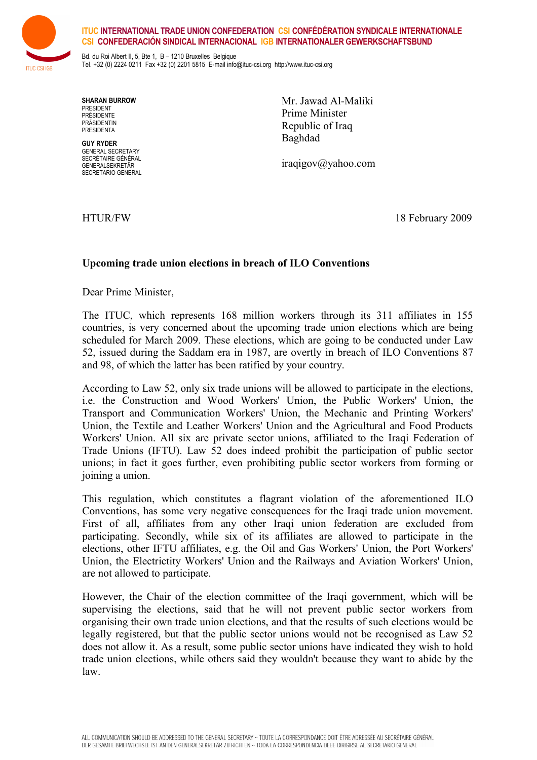

## **ITUC INTERNATIONAL TRADE UNION CONFEDERATION CSI CONFÉDÉRATION SYNDICALE INTERNATIONALE CSI CONFEDERACIÓN SINDICAL INTERNACIONAL IGB INTERNATIONALER GEWERKSCHAFTSBUND**

Bd. du Roi Albert II, 5, Bte 1, B - 1210 Bruxelles Belgique Tel. +32 (0) 2224 0211 Fax +32 (0) 2201 5815 E-mail [info@ituc-csi.org](mailto:info@ituc-csi.org) http://www.ituc-csi.org

**SHARAN BURROW** PRESIDENT PRÉSIDENTE PRÄSIDENTIN PRESIDENTA

**GUY RYDER** GENERAL SECRETARY SECRÉTAIRE GÉNÉRAL GENERALSEKRETÄR SECRETARIO GENERAL Mr. Jawad Al-Maliki Prime Minister Republic of Iraq Baghdad

iraqigov@yahoo.com

HTUR/FW 18 February 2009

## **Upcoming trade union elections in breach of ILO Conventions**

Dear Prime Minister,

The ITUC, which represents 168 million workers through its 311 affiliates in 155 countries, is very concerned about the upcoming trade union elections which are being scheduled for March 2009. These elections, which are going to be conducted under Law 52, issued during the Saddam era in 1987, are overtly in breach of ILO Conventions 87 and 98, of which the latter has been ratified by your country.

According to Law 52, only six trade unions will be allowed to participate in the elections, i.e. the Construction and Wood Workers' Union, the Public Workers' Union, the Transport and Communication Workers' Union, the Mechanic and Printing Workers' Union, the Textile and Leather Workers' Union and the Agricultural and Food Products Workers' Union. All six are private sector unions, affiliated to the Iraqi Federation of Trade Unions (IFTU). Law 52 does indeed prohibit the participation of public sector unions; in fact it goes further, even prohibiting public sector workers from forming or joining a union.

This regulation, which constitutes a flagrant violation of the aforementioned ILO Conventions, has some very negative consequences for the Iraqi trade union movement. First of all, affiliates from any other Iraqi union federation are excluded from participating. Secondly, while six of its affiliates are allowed to participate in the elections, other IFTU affiliates, e.g. the Oil and Gas Workers' Union, the Port Workers' Union, the Electrictity Workers' Union and the Railways and Aviation Workers' Union, are not allowed to participate.

However, the Chair of the election committee of the Iraqi government, which will be supervising the elections, said that he will not prevent public sector workers from organising their own trade union elections, and that the results of such elections would be legally registered, but that the public sector unions would not be recognised as Law 52 does not allow it. As a result, some public sector unions have indicated they wish to hold trade union elections, while others said they wouldn't because they want to abide by the law.